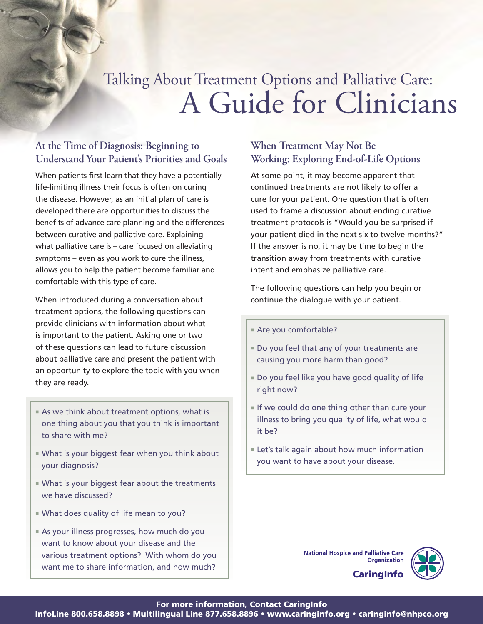# A Guide for Clinicians Talking About Treatment Options and Palliative Care:

### **At the Time of Diagnosis: Beginning to Understand Your Patient's Priorities and Goals**

When patients first learn that they have a potentially life-limiting illness their focus is often on curing the disease. However, as an initial plan of care is developed there are opportunities to discuss the benefits of advance care planning and the differences between curative and palliative care. Explaining what palliative care is – care focused on alleviating symptoms – even as you work to cure the illness, allows you to help the patient become familiar and comfortable with this type of care.

When introduced during a conversation about treatment options, the following questions can provide clinicians with information about what is important to the patient. Asking one or two of these questions can lead to future discussion about palliative care and present the patient with an opportunity to explore the topic with you when they are ready.

- **As we think about treatment options, what is** one thing about you that you think is important to share with me?
- $\blacksquare$  What is your biggest fear when you think about your diagnosis?
- **Nhat is your biggest fear about the treatments** we have discussed?
- **No. 2** What does quality of life mean to you?
- **As your illness progresses, how much do you** want to know about your disease and the various treatment options? With whom do you want me to share information, and how much?

### **When Treatment May Not Be Working: Exploring End-of-Life Options**

At some point, it may become apparent that continued treatments are not likely to offer a cure for your patient. One question that is often used to frame a discussion about ending curative treatment protocols is "Would you be surprised if your patient died in the next six to twelve months?" If the answer is no, it may be time to begin the transition away from treatments with curative intent and emphasize palliative care.

The following questions can help you begin or continue the dialogue with your patient.

■ Are you comfortable?

- Do you feel that any of your treatments are causing you more harm than good?
- Do you feel like you have good quality of life right now?
- $\blacksquare$  If we could do one thing other than cure your illness to bring you quality of life, what would it be?
- **Let's talk again about how much information** you want to have about your disease.

**National Hospice and Palliative Care Organization** 



**CaringInfo**

 $\boldsymbol{\theta}$  in the contact  $\boldsymbol{\theta}$  is the contact  $\boldsymbol{\theta}$  of  $\boldsymbol{\theta}$  is the contact  $\boldsymbol{\theta}$  of  $\boldsymbol{\theta}$  is the contact  $\boldsymbol{\theta}$  is the contact  $\boldsymbol{\theta}$  is the contact  $\boldsymbol{\theta}$  is the contact  $\boldsymbol{\theta}$  is the contact  $\boldsymbol{\theta$ 

lnfoLine 800.658.8898 • Multilingual Line 877.658.8896 • www.caringinfo.org • caringinfo@nhpco.org